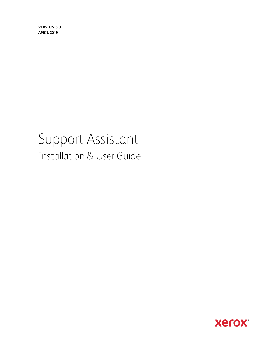**Version 3.0 April 2019**

# Support Assistant Installation & User Guide

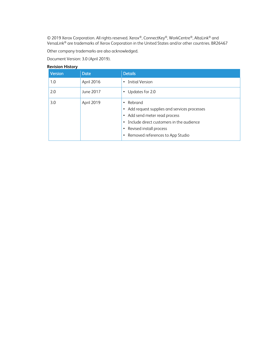© 2019 Xerox Corporation. All rights reserved. Xerox®, ConnectKey®, WorkCentre®, AltaLink® and VersaLink® are trademarks of Xerox Corporation in the United States and/or other countries. BR26467

Other company trademarks are also acknowledged.

Document Version: 3.0 (April 2019).

| <b>REVISION FILSLOI Y</b> |             |                                                                                                                                                                                                                                                |
|---------------------------|-------------|------------------------------------------------------------------------------------------------------------------------------------------------------------------------------------------------------------------------------------------------|
| Version                   | <b>Date</b> | <b>Details</b>                                                                                                                                                                                                                                 |
| 1.0                       | April 2016  | Initial Version<br>$\bullet$                                                                                                                                                                                                                   |
| 2.0                       | June 2017   | Updates for 2.0<br>٠                                                                                                                                                                                                                           |
| 3.0                       | April 2019  | Rebrand<br>$\bullet$<br>Add request supplies and services processes<br>٠<br>Add send meter read process<br>٠<br>Include direct customers in the audience<br>$\bullet$<br>Revised install process<br>٠<br>Removed references to App Studio<br>٠ |

#### **Revision History**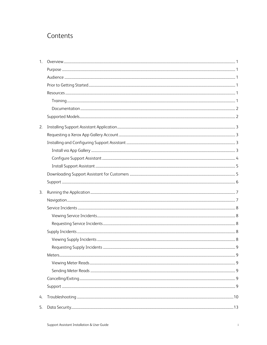# Contents

| 1. |  |
|----|--|
|    |  |
|    |  |
|    |  |
|    |  |
|    |  |
|    |  |
|    |  |
| 2. |  |
|    |  |
|    |  |
|    |  |
|    |  |
|    |  |
|    |  |
|    |  |
| 3. |  |
|    |  |
|    |  |
|    |  |
|    |  |
|    |  |
|    |  |
|    |  |
|    |  |
|    |  |
|    |  |
|    |  |
|    |  |
|    |  |
| 4. |  |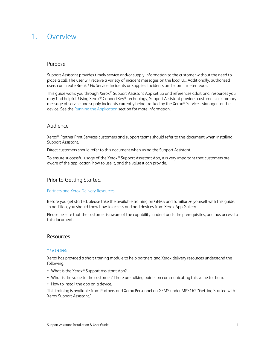# <span id="page-3-0"></span>1. Overview

### <span id="page-3-1"></span>Purpose

Support Assistant provides timely service and/or supply information to the customer without the need to place a call. The user will receive a variety of incident messages on the local UI. Additionally, authorized users can create Break / Fix Service Incidents or Supplies Incidents and submit meter reads.

This quide walks you through Xerox® Support Assistant App set up and references additional resources you may find helpful. Using Xerox® ConnectKey® technology, Support Assistant provides customers a summary message of service and supply incidents currently being tracked by the Xerox® Services Manager for the device. See the Running the Application section for more information.

#### <span id="page-3-2"></span>Audience

Xerox® Partner Print Services customers and support teams should refer to this document when installing Support Assistant.

Direct customers should refer to this document when using the Support Assistant.

To ensure successful usage of the Xerox® Support Assistant App, it is very important that customers are aware of the application, how to use it, and the value it can provide.

### <span id="page-3-3"></span>Prior to Getting Started

#### Partners and Xerox Delivery Resources

Before you get started, please take the available training on GEMS and familiarize yourself with this guide. In addition, you should know how to access and add devices from Xerox App Gallery.

Please be sure that the customer is aware of the capability, understands the prerequisites, and has access to this document.

#### <span id="page-3-4"></span>Resources

#### <span id="page-3-5"></span>**T RAIN IN G**

Xerox has provided a short training module to help partners and Xerox delivery resources understand the following.

- What is the Xerox<sup>®</sup> Support Assistant App?
- What is the value to the customer? There are talking points on communicating this value to them.
- How to install the app on a device.

This training is available from Partners and Xerox Personnel on GEMS under MPS162 "Getting Started with Xerox Support Assistant."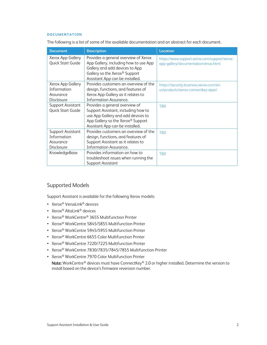#### <span id="page-4-0"></span>**DOCUMENTATION**

The following is a list of some of the available documentation and an abstract for each document.

| <b>Document</b>                                                    | <b>Description</b>                                                                                                                                                                  | <b>Location</b>                                                                     |
|--------------------------------------------------------------------|-------------------------------------------------------------------------------------------------------------------------------------------------------------------------------------|-------------------------------------------------------------------------------------|
| Xerox App Gallery<br>Quick Start Guide                             | Provides a general overview of Xerox<br>App Gallery, including how to use App<br>Gallery and add devices to App<br>Gallery so the Xerox® Support<br>Assistant App can be installed. | https://www.support.xerox.com/support/xerox-<br>app-gallery/documentation/enus.html |
| Xerox App Gallery<br>Information<br>Assurance<br><b>Disclosure</b> | Provides customers an overview of the<br>design, functions, and features of<br>Xerox App Gallery as it relates to<br>Information Assurance.                                         | https://security.business.xerox.com/en-<br>us/products/xerox-connectkey-apps/       |
| Support Assistant<br>Quick Start Guide                             | Provides a general overview of<br>Support Assistant, including how to<br>use App Gallery and add devices to<br>App Gallery so the Xerox® Support<br>Assistant App can be installed. | <b>TRD</b>                                                                          |
| Support Assistant<br>Information<br>Assurance<br><b>Disclosure</b> | Provides customers an overview of the<br>design, functions, and features of<br>Support Assistant as it relates to<br>Information Assurance.                                         | <b>TBD</b>                                                                          |
| KnowledgeBase                                                      | Provides information on how to<br>troubleshoot issues when running the<br>Support Assistant                                                                                         | <b>TBD</b>                                                                          |

## <span id="page-4-1"></span>Supported Models

Support Assistant is available for the following Xerox models:

- Xerox® VersaLink® devices
- Xerox® AltaLink® devices
- Xerox® WorkCentre® 3655 Multifunction Printer
- Xerox® WorkCentre 5845/5855 Multifunction Printer
- Xerox® WorkCentre 5945/5955 Multifunction Printer
- Xerox® WorkCentre 6655 Color Multifunction Printer
- Xerox® WorkCentre 7220/7225 Multifunction Printer
- Xerox® WorkCentre 7830/7835/7845/7855 Multifunction Printer
- Xerox® WorkCentre 7970 Color Multifunction Printer

Note: WorkCentre® devices must have ConnectKey® 2.0 or higher installed. Determine the version to install based on the device's firmware reversion number.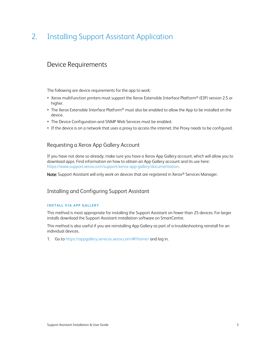# <span id="page-5-0"></span>2. Installing Support Assistant Application

# Device Requirements

The following are device requirements for the app to work:

- Xerox multifunction printers must support the Xerox Extensible Interface Platform® (EIP) version 2.5 or higher.
- The Xerox Extensible Interface Platform® must also be enabled to allow the App to be installed on the device.
- The Device Configuration and SNMP Web Services must be enabled.
- <span id="page-5-1"></span>• If the device is on a network that uses a proxy to access the internet, the Proxy needs to be configured.

### Requesting a Xerox App Gallery Account

If you have not done so already, make sure you have a Xerox App Gallery account, which will allow you to download apps. Find information on how to obtain an App Gallery account and its use here: [https://www.support.xerox.com/support/xerox-app-gallery/documentation.](https://www.support.xerox.com/support/xerox-app-gallery/documentation)

<span id="page-5-2"></span>Note: Support Assistant will only work on devices that are registered in Xerox® Services Manager.

# Installing and Configuring Support Assistant

#### <span id="page-5-3"></span>**INSTALL VIA APP GALLERY**

This method is most appropriate for installing the Support Assistant on fewer than 25 devices. For larger installs download the Support Assistant installation software on SmartCentre.

This method is also useful if you are reinstalling App Gallery as part of a troubleshooting reinstall for an individual devices.

1. Go to https://appgallery.services.xerox.com/#!/home/ and log in.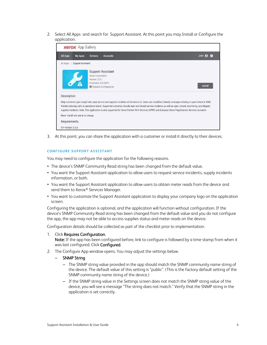2. Select All Apps and search for Support Assistant. At this point you may Install or Configure the application.

| <b>xerox</b> App Gallery                                                                                                                                                                                                                                                                                                                                                                                                                                                                                |                                                                                                                             |                |                 |                            |
|---------------------------------------------------------------------------------------------------------------------------------------------------------------------------------------------------------------------------------------------------------------------------------------------------------------------------------------------------------------------------------------------------------------------------------------------------------------------------------------------------------|-----------------------------------------------------------------------------------------------------------------------------|----------------|-----------------|----------------------------|
| All Apps                                                                                                                                                                                                                                                                                                                                                                                                                                                                                                | <b>My Apps</b>                                                                                                              | <b>Devices</b> | <b>Accounts</b> | John $\boldsymbol{\Theta}$ |
| All Apps /                                                                                                                                                                                                                                                                                                                                                                                                                                                                                              | <b>Support Assistant</b>                                                                                                    |                |                 |                            |
|                                                                                                                                                                                                                                                                                                                                                                                                                                                                                                         | Support Assistant<br>Xerox Corporation<br>Version: 3.0.1<br>Published: 3/5/2019<br><b>Install</b><br>Requires Configuration |                |                 |                            |
| Description<br>Help customers gain insight into open service and supplies incidents at the device UI. Users see simplified, friendly messages relating to open tickets in XSM,<br>thereby reducing calls to operations teams. Supported scenarios include open and closed service incidents, as well as open, closed, monitoring, and shipped<br>supplies incidents. Note: This application is only supported for Xerox Partner Print Services (XPPS) and European Xerox PageConnect Services accounts. |                                                                                                                             |                |                 |                            |
| None. Install and use at no charge.                                                                                                                                                                                                                                                                                                                                                                                                                                                                     |                                                                                                                             |                |                 |                            |
| Requirements                                                                                                                                                                                                                                                                                                                                                                                                                                                                                            |                                                                                                                             |                |                 |                            |
| EIP Version: 3.0.0                                                                                                                                                                                                                                                                                                                                                                                                                                                                                      |                                                                                                                             |                |                 |                            |

<span id="page-6-0"></span>3. At this point, you can share the application with a customer or install it directly to their devices.

#### **CONFIGURE SUPPORT ASSISTANT**

You may need to configure the application for the following reasons.

- The device's SNMP Community Read string has been changed from the default value.
- You want the Support Assistant application to allow users to request service incidents, supply incidents information, or both.
- You want the Support Assistant application to allow users to obtain meter reads from the device and send them to Xerox® Services Manager.
- You want to customize the Support Assistant application to display your company logo on the application screen.

Configuring the application is optional, and the application will function without configuration. If the device's SNMP Community Read string has been changed from the default value and you do not configure the app, the app may not be able to access supplies status and meter reads on the device.

Configuration details should be collected as part of the checklist prior to implementation.

1. Click Requires Configuration.

Note: If the app has been configured before, link to configure is followed by a time stamp from when it was last configured. Click Configured.

2. The Configure App window opens. You may adjust the settings below.

#### – SNMP String

- The SNMP string value provided in the app should match the SNMP community name string of the device. The default value of this setting is "public". (This is the factory default setting of the SNMP community name string of the device.)
- If the SNMP string value in the Settings screen does not match the SNMP string value of the device, you will see a message "The string does not match." Verify that the SNMP string in the application is set correctly.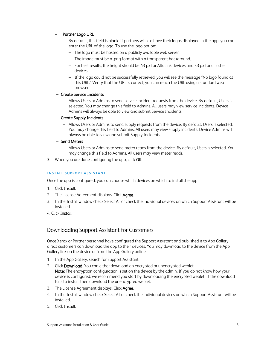#### – Partner Logo URL

- By default, this field is blank. If partners wish to have their logos displayed in the app, you can enter the URL of the logo. To use the logo option:
	- The logo must be hosted on a publicly available web server.
	- The image must be a .png format with a transparent background.
	- For best results, the height should be 43 px for AltaLink devices and 33 px for all other devices.
	- If the logo could not be successfully retrieved, you will see the message "No logo found at this URL." Verify that the URL is correct; you can reach the URL using a standard web browser.

#### – Create Service Incidents

– Allows Users or Admins to send service incident requests from the device. By default, Users is selected. You may change this field to Admins. All users may view service incidents. Device Admins will always be able to view and submit Service Incidents.

#### – Create Supply Incidents

– Allows Users or Admins to send supply requests from the device. By default, Users is selected. You may change this field to Admins. All users may view supply incidents. Device Admins will always be able to view and submit Supply Incidents.

#### – Send Meters

- Allows Users or Admins to send meter reads from the device. By default, Users is selected. You may change this field to Admins. All users may view meter reads.
- <span id="page-7-0"></span>3. When you are done configuring the app, click OK.

#### **INSTALL SUPPORT ASSISTANT**

Once the app is configured, you can choose which devices on which to install the app.

- 1. Click Install.
- 2. The License Agreement displays. Click Agree.
- 3. In the Install window check Select All or check the individual devices on which Support Assistant will be installed.
- <span id="page-7-1"></span>4. Click Install.

## Downloading Support Assistant for Customers

Once Xerox or Partner personnel have configured the Support Assistant and published it to App Gallery direct customers can download the app to their devices. You may download to the device from the App Gallery link on the device or from the App Gallery online.

- 1. In the App Gallery, search for Support Assistant.
- 2. Click Download. You can either download an encrypted or unencrypted weblet. Note: The encryption configuration is set on the device by the admin. If you do not know how your device is configured, we recommend you start by downloading the encrypted weblet. If the download fails to install, then download the unencrypted weblet.
- 3. The License Agreement displays. Click Agree.
- 4. In the Install window check Select All or check the individual devices on which Support Assistant will be installed.
- 5. Click Install.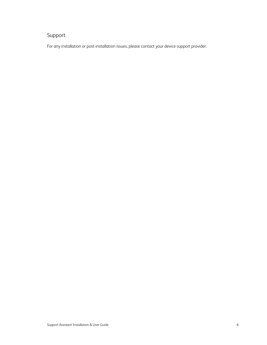# <span id="page-8-0"></span>Support

For any installation or post-installation issues, please contact your device support provider.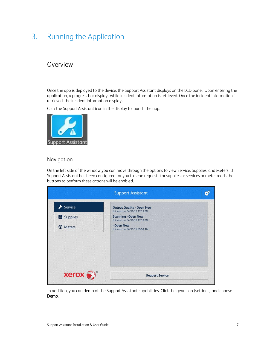# <span id="page-9-0"></span>3. Running the Application

# Overview

Once the app is deployed to the device, the Support Assistant displays on the LCD panel. Upon entering the application, a progress bar displays while incident information is retrieved. Once the incident information is retrieved, the incident information displays.

Click the Support Assistant icon in the display to launch the app.



### <span id="page-9-1"></span>Navigation

On the left side of the window you can move through the options to view Service, Supplies, and Meters. If Support Assistant has been configured for you to send requests for supplies or services or meter reads the buttons to perform these actions will be enabled.

|                    | <b>Support Assistant</b>                                            |
|--------------------|---------------------------------------------------------------------|
| $\bigstar$ Service | <b>Output Quality - Open New</b><br>Initiated on: 04/10/19 12:19 PM |
| Supplies           | <b>Scanning - Open New</b><br>Initiated on: 04/10/19 12:18 PM       |
| <b>O</b> Meters    | - Open New<br>Initiated on: 04/11/19 05:53 AM                       |
|                    |                                                                     |
|                    |                                                                     |

In addition, you can demo of the Support Assistant capabilities. Click the gear icon (settings) and choose Demo.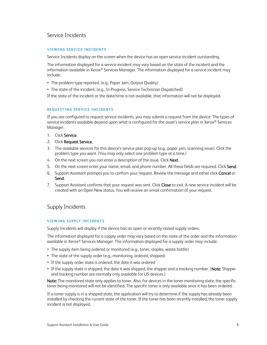# <span id="page-10-0"></span>Service Incidents

#### <span id="page-10-1"></span>**VIEWING SERVICE INCIDENTS**

Service Incidents display on the screen when the device has an open service incident outstanding.

The information displayed for a service incident may vary based on the state of the incident and the information available in Xerox® Services Manager. The information displayed for a service incident may include:

- The problem type reported. (e.g., Paper Jam, Output Quality)
- The state of the incident. (e.g., In Progress, Service Technician Dispatched)

If the state of the incident or the date/time is not available, that information will not be displayed.

#### <span id="page-10-2"></span>**REQUESTING SERVICE INCIDENTS**

If you are configured to request service incidents, you may submit a request from the device. The types of service incidents available depend upon what is configured for the asset's service plan in Xerox® Services Manager.

- 1. Click Service.
- 2. Click Request Service.
- 3. The available services for this device's service plan pop-up (e.g., paper jam, scanning issue). Click the problem type you want. (You may only select one problem type at a time.)
- 4. On the next screen you can enter a description of the issue. Click Next.
- 5. On the next screen enter your name, email, and phone number. All these fields are required. Click Send.
- 6. Support Assistant prompts you to confirm your request. Review the message and either click Cancel or Send.
- 7. Support Assistant confirms that your request was sent. Click Close to exit. A new service incident will be created with an Open New status. You will receive an email confirmation of your request.

## <span id="page-10-3"></span>Supply Incidents

#### <span id="page-10-4"></span>**VIEWING SUPPLY INCIDENTS**

Supply Incidents will display if the device has an open or recently closed supply orders.

The information displayed for a supply order may vary based on the state of the order and the information available in Xerox® Services Manager. The information displayed for a supply order may include:

- The supply item being ordered or monitored (e.g., toner, staples, waste bottle)
- The state of the supply order (e.g., monitoring, ordered, shipped)
- If the supply order state is ordered, the date it was ordered
- If the supply state is shipped, the date it was shipped, the shipper and a tracking number. (Note: Shipper and tracking number are normally only available for US devices.)

Note: The monitored state only applies to toner. Also, for devices in the toner monitoring state, the specific toner being monitored will not be identified. The specific toner is only available once it has been ordered.

If a toner supply is in a shipped state, the application will try to determine if the supply has already been installed by checking the current state of the toner. If the toner has been recently installed, the toner supply incident is not displayed.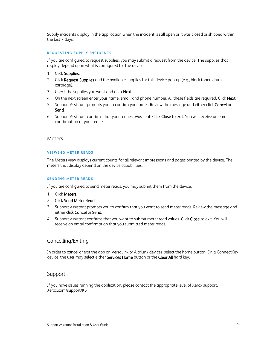Supply incidents display in the application when the incident is still open or it was closed or shipped within the last 7 days.

#### <span id="page-11-0"></span>**RE QUEST IN G SU PP LY IN CI DEN T S**

If you are configured to request supplies, you may submit a request from the device. The supplies that display depend upon what is configured for the device.

- 1. Click Supplies.
- 2. Click Request Supplies and the available supplies for this device pop-up (e.g., black toner, drum cartridge).
- 3. Check the supplies you want and Click Next.
- 4. On the next screen enter your name, email, and phone number. All these fields are required. Click Next.
- 5. Support Assistant prompts you to confirm your order. Review the message and either click Cancel or Send.
- 6. Support Assistant confirms that your request was sent. Click Close to exit. You will receive an email confirmation of your request.

#### <span id="page-11-1"></span>Meters

#### <span id="page-11-2"></span>**VIEWING METER READS**

The Meters view displays current counts for all relevant impressions and pages printed by the device. The meters that display depend on the device capabilities.

#### <span id="page-11-3"></span>**SENDING METER READS**

If you are configured to send meter reads, you may submit them from the device.

- 1. Click Meters.
- 2. Click Send Meter Reads.
- 3. Support Assistant prompts you to confirm that you want to send meter reads. Review the message and either click Cancel or Send.
- 4. Support Assistant confirms that you want to submit meter read values. Click Close to exit. You will receive an email confirmation that you submitted meter reads.

### <span id="page-11-4"></span>Cancelling/Exiting

In order to cancel or exit the app on VersaLink or AltaLink devices, select the home button. On a ConnectKey device, the user may select either Services Home button or the Clear All hard key.

#### <span id="page-11-5"></span>Support

If you have issues running the application, please contact the appropriate level of Xerox support. Xerox.com/support/KB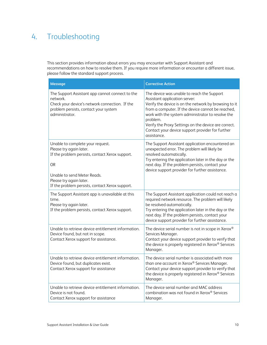# <span id="page-12-0"></span>4. Troubleshooting

This section provides information about errors you may encounter with Support Assistant and recommendations on how to resolve them. If you require more information or encounter a different issue, please follow the standard support process.

| Message                                                                                                                                                                                                                           | <b>Corrective Action</b>                                                                                                                                                                                                                                                                                                                                                              |
|-----------------------------------------------------------------------------------------------------------------------------------------------------------------------------------------------------------------------------------|---------------------------------------------------------------------------------------------------------------------------------------------------------------------------------------------------------------------------------------------------------------------------------------------------------------------------------------------------------------------------------------|
| The Support Assistant app cannot connect to the<br>network.<br>Check your device's network connection. If the<br>problem persists, contact your system<br>administrator.                                                          | The device was unable to reach the Support<br>Assistant application server:<br>Verify the device is on the network by browsing to it<br>from a computer. If the device cannot be reached,<br>work with the system administrator to resolve the<br>problem.<br>Verify the Proxy Settings on the device are correct.<br>Contact your device support provider for further<br>assistance. |
| Unable to complete your request.<br>Please try again later.<br>If the problem persists, contact Xerox support.<br>OR<br>Unable to send Meter Reads.<br>Please try again later.<br>If the problem persists, contact Xerox support. | The Support Assistant application encountered an<br>unexpected error. The problem will likely be<br>resolved automatically.<br>Try entering the application later in the day or the<br>next day. If the problem persists, contact your<br>device support provider for further assistance.                                                                                             |
| The Support Assistant app is unavailable at this<br>time.<br>Please try again later.<br>If the problem persists, contact Xerox support.                                                                                           | The Support Assistant application could not reach a<br>required network resource. The problem will likely<br>be resolved automatically.<br>Try entering the application later in the day or the<br>next day. If the problem persists, contact your<br>device support provider for further assistance.                                                                                 |
| Unable to retrieve device entitlement information.<br>Device found, but not in scope.<br>Contact Xerox support for assistance.                                                                                                    | The device serial number is not in scope in Xerox®<br>Services Manager.<br>Contact your device support provider to verify that<br>the device is properly registered in Xerox® Services<br>Manager.                                                                                                                                                                                    |
| Unable to retrieve device entitlement information.<br>Device found, but duplicates exist.<br>Contact Xerox support for assistance                                                                                                 | The device serial number is associated with more<br>than one account in Xerox® Services Manager.<br>Contact your device support provider to verify that<br>the device is properly registered in Xerox® Services<br>Manager.                                                                                                                                                           |
| Unable to retrieve device entitlement information.<br>Device is not found.<br>Contact Xerox support for assistance                                                                                                                | The device serial number and MAC address<br>combination was not found in Xerox® Services<br>Manager.                                                                                                                                                                                                                                                                                  |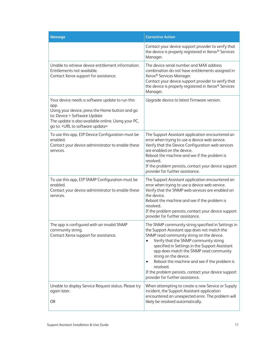| <b>Message</b>                                                                                                                                                                                                                        | <b>Corrective Action</b>                                                                                                                                                                                                                                                                                                                                                                                                                                                    |
|---------------------------------------------------------------------------------------------------------------------------------------------------------------------------------------------------------------------------------------|-----------------------------------------------------------------------------------------------------------------------------------------------------------------------------------------------------------------------------------------------------------------------------------------------------------------------------------------------------------------------------------------------------------------------------------------------------------------------------|
|                                                                                                                                                                                                                                       | Contact your device support provider to verify that<br>the device is properly registered in Xerox® Services<br>Manager.                                                                                                                                                                                                                                                                                                                                                     |
| Unable to retrieve device entitlement information.<br>Entitlements not available.<br>Contact Xerox support for assistance.                                                                                                            | The device serial number and MAX address<br>combination do not have entitlements assigned in<br>Xerox <sup>®</sup> Services Manager.<br>Contact your device support provider to verify that<br>the device is properly registered in Xerox® Services<br>Manager.                                                                                                                                                                                                             |
| Your device needs a software update to run this<br>app.<br>Using your device, press the Home button and go<br>to: Device > Software Update<br>The update is also available online. Using your PC,<br>go to: < URL to software update> | Upgrade device to latest firmware version.                                                                                                                                                                                                                                                                                                                                                                                                                                  |
| To use this app, EIP Device Configuration must be<br>enabled.<br>Contact your device administrator to enable these<br>services.                                                                                                       | The Support Assistant application encountered an<br>error when trying to use a device web service.<br>Verify that the Device Configuration web services<br>are enabled on the device.<br>Reboot the machine and see if the problem is<br>resolved.<br>If the problem persists, contact your device support<br>provider for further assistance.                                                                                                                              |
| To use this app, EIP SNMP Configuration must be<br>enabled.<br>Contact your device administrator to enable these<br>services.                                                                                                         | The Support Assistant application encountered an<br>error when trying to use a device web service.<br>Verify that the SNMP web services are enabled on<br>the device.<br>Reboot the machine and see if the problem is<br>resolved.<br>If the problem persists, contact your device support<br>provider for further assistance.                                                                                                                                              |
| The app is configured with an invalid SNMP<br>community string.<br>Contact Xerox support for assistance.                                                                                                                              | The SNMP community string specified in Settings in<br>the Support Assistant app does not match the<br>SNMP read community string on the device.<br>Verify that the SNMP community string<br>specified in Settings in the Support Assistant<br>app does match the SNMP read community<br>string on the device.<br>Reboot the machine and see if the problem is<br>٠<br>resolved.<br>If the problem persists, contact your device support<br>provider for further assistance. |
| Unable to display Service Request status. Please try<br>again later.<br><b>OR</b>                                                                                                                                                     | When attempting to create a new Service or Supply<br>incident, the Support Assistant application<br>encountered an unexpected error. The problem will<br>likely be resolved automatically.                                                                                                                                                                                                                                                                                  |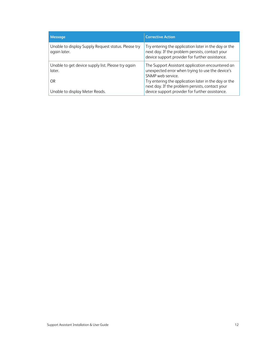| Message                                                             | <b>Corrective Action</b>                                                                                                                                                          |
|---------------------------------------------------------------------|-----------------------------------------------------------------------------------------------------------------------------------------------------------------------------------|
| Unable to display Supply Request status. Please try<br>again later. | Try entering the application later in the day or the<br>next day. If the problem persists, contact your<br>device support provider for further assistance.                        |
| Unable to get device supply list. Please try again<br>later.<br>0R  | The Support Assistant application encountered an<br>unexpected error when trying to use the device's<br>SNMP web service.<br>Try entering the application later in the day or the |
| Unable to display Meter Reads.                                      | next day. If the problem persists, contact your<br>device support provider for further assistance.                                                                                |